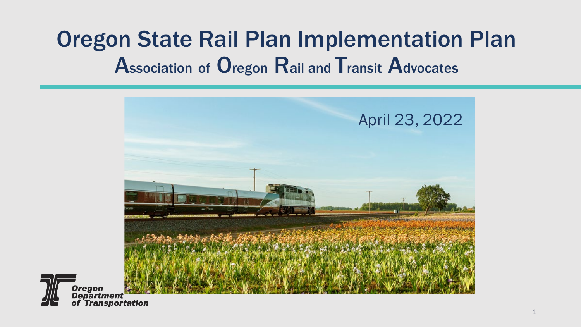#### Oregon State Rail Plan Implementation Plan Association of Oregon Rail and Transit Advocates



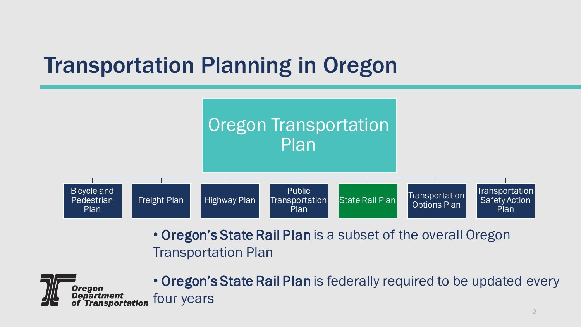#### Transportation Planning in Oregon



• Oregon's State Rail Plan is a subset of the overall Oregon Transportation Plan



• Oregon's State Rail Plan is federally required to be updated every four years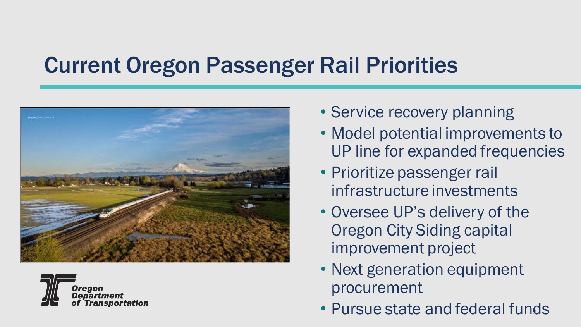#### Current Oregon Passenger Rail Priorities





- Service recovery planning
- Model potential improvements to UP line for expanded frequencies
- Prioritize passenger rail infrastructure investments
- Oversee UP's delivery of the Oregon City Siding capital improvement project
- Next generation equipment procurement
- 3 Pursue state and federal funds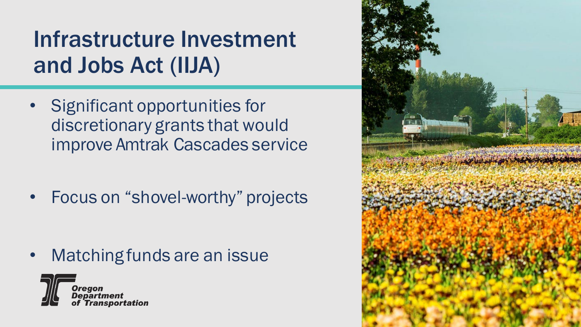# Infrastructure Investment and Jobs Act (IIJA)

- Significant opportunities for discretionary grants that would improve Amtrak Cascades service
- Focus on "shovel-worthy" projects

• Matching funds are an issue



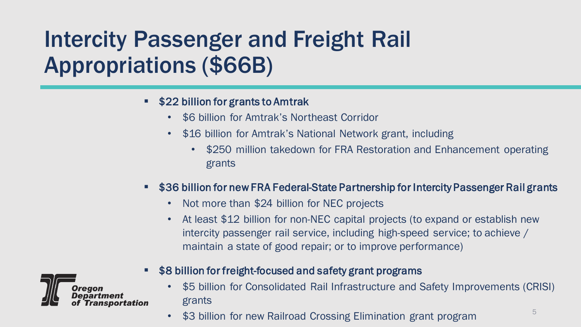# Intercity Passenger and Freight Rail Appropriations (\$66B)

#### **522 billion for grants to Amtrak**

- \$6 billion for Amtrak's Northeast Corridor
- \$16 billion for Amtrak's National Network grant, including
	- \$250 million takedown for FRA Restoration and Enhancement operating grants
- **536 billion for new FRA Federal-State Partnership for Intercity Passenger Rail grants** 
	- Not more than \$24 billion for NEC projects
	- At least \$12 billion for non-NEC capital projects (to expand or establish new intercity passenger rail service, including high-speed service; to achieve / maintain a state of good repair; or to improve performance)



- \$8 billion for freight-focused and safety grant programs
	- \$5 billion for Consolidated Rail Infrastructure and Safety Improvements (CRISI) grants
	- \$3 billion for new Railroad Crossing Elimination grant program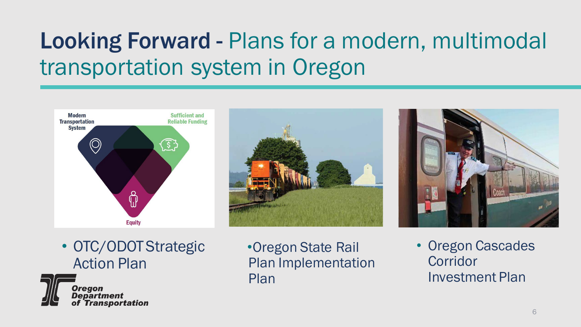# Looking Forward - Plans for a modern, multimodal transportation system in Oregon





• OTC/ODOT Strategic Action Plan



•Oregon State Rail Plan Implementation Plan

• Oregon Cascades Corridor Investment Plan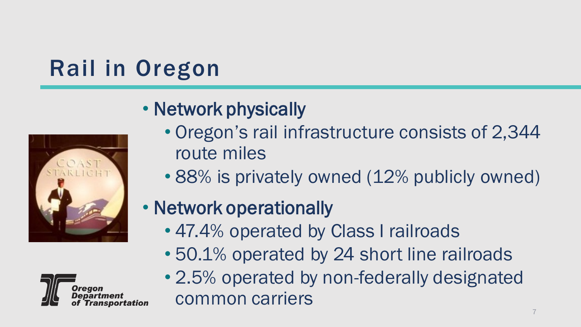# Rail in Oregon



#### • Network physically

- Oregon's rail infrastructure consists of 2,344 route miles
- 88% is privately owned (12% publicly owned)

#### • Network operationally

- 47.4% operated by Class I railroads
- 50.1% operated by 24 short line railroads
- 2.5% operated by non-federally designated common carriers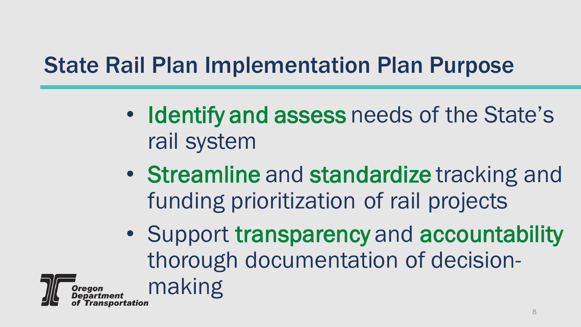#### State Rail Plan Implementation Plan Purpose

- Identify and assess needs of the State's rail system
- Streamline and standardize tracking and funding prioritization of rail projects
- Support transparency and accountability thorough documentation of decisionmaking

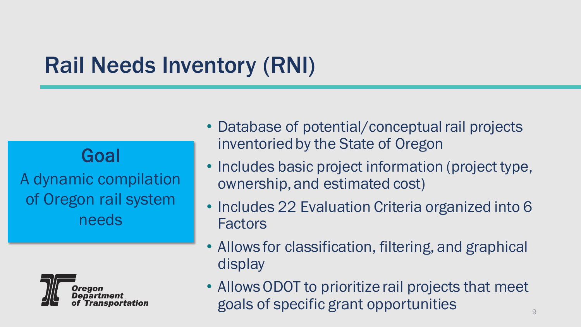#### Rail Needs Inventory (RNI)

Goal

A dynamic compilation of Oregon rail system needs



- Database of potential/conceptual rail projects inventoried by the State of Oregon
- Includes basic project information (project type, ownership, and estimated cost)
- Includes 22 Evaluation Criteria organized into 6 Factors
- Allows for classification, filtering, and graphical display
- Allows ODOT to prioritize rail projects that meet goals of specific grant opportunities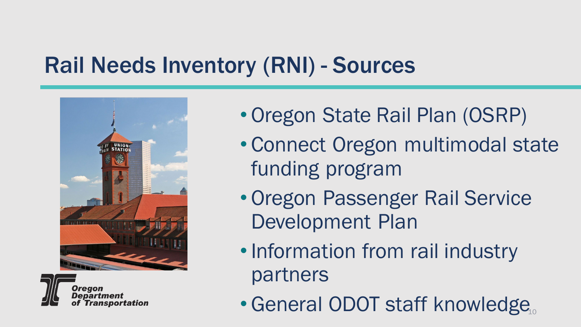#### Rail Needs Inventory (RNI) - Sources





- Oregon State Rail Plan (OSRP)
- Connect Oregon multimodal state funding program
- Oregon Passenger Rail Service Development Plan
- •Information from rail industry partners
- · General ODOT staff knowledge,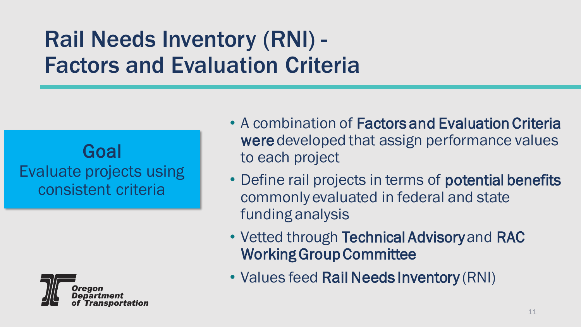### Rail Needs Inventory (RNI) - Factors and Evaluation Criteria

#### Goal Evaluate projects using consistent criteria



- A combination of Factors and Evaluation Criteria were developed that assign performance values to each project
- Define rail projects in terms of **potential benefits** commonly evaluated in federal and state funding analysis
- Vetted through Technical Advisory and RAC Working Group Committee
- Values feed Rail Needs Inventory (RNI)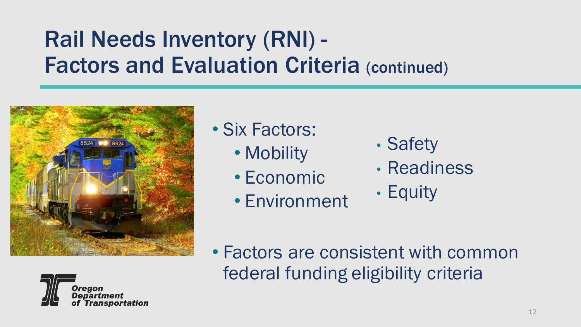#### Rail Needs Inventory (RNI) - **Factors and Evaluation Criteria (continued)**





• Six Factors:

- Mobility
- Economic
- Environment
- Safety
- Readiness
- Equity

• Factors are consistent with common federal funding eligibility criteria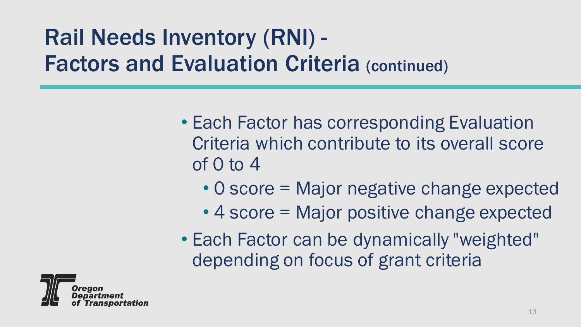# Rail Needs Inventory (RNI) - Factors and Evaluation Criteria (continued)

- Each Factor has corresponding Evaluation Criteria which contribute to its overall score of 0 to 4
	- 0 score = Major negative change expected
	- 4 score = Major positive change expected
- Each Factor can be dynamically "weighted" depending on focus of grant criteria

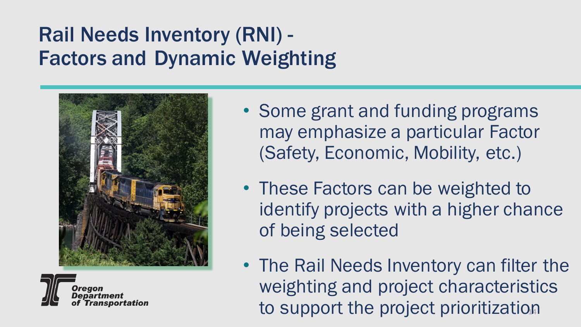#### Rail Needs Inventory (RNI) - Factors and Dynamic Weighting





- Some grant and funding programs may emphasize a particular Factor (Safety, Economic, Mobility, etc.)
- These Factors can be weighted to identify projects with a higher chance of being selected
- to support the project prioritization • The Rail Needs Inventory can filter the weighting and project characteristics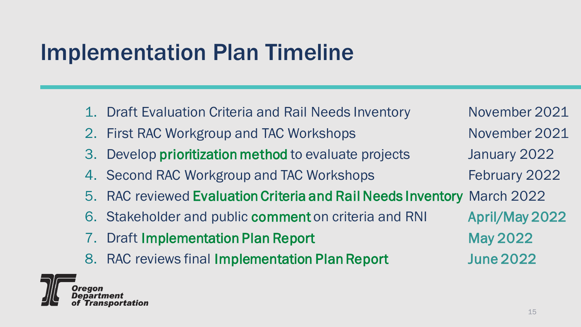#### Implementation Plan Timeline

1. Draft Evaluation Criteria and Rail Needs Inventory November 2021 2. First RAC Workgroup and TAC Workshops November 2021 3. Develop prioritization method to evaluate projects January 2022 4. Second RAC Workgroup and TAC Workshops February 2022 5. RAC reviewed Evaluation Criteria and Rail Needs Inventory March 2022 6. Stakeholder and public comment on criteria and RNI April/May 2022 7. Draft Implementation Plan Report May 2022 8. RAC reviews final Implementation Plan Report June 2022